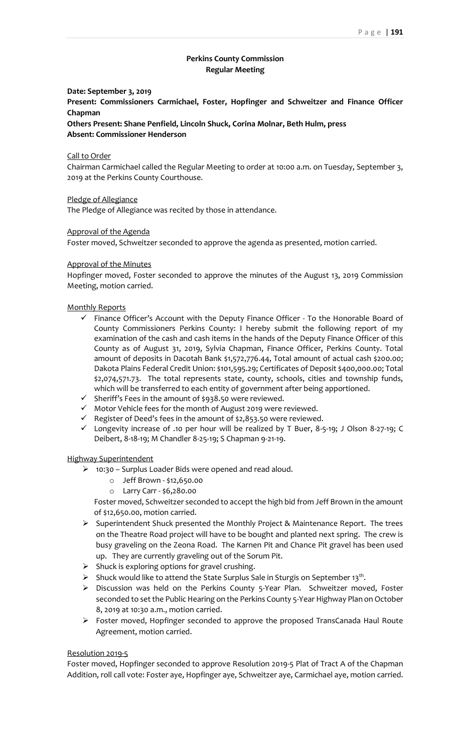## **Perkins County Commission Regular Meeting**

### **Date: September 3, 2019**

**Present: Commissioners Carmichael, Foster, Hopfinger and Schweitzer and Finance Officer Chapman**

**Others Present: Shane Penfield, Lincoln Shuck, Corina Molnar, Beth Hulm, press Absent: Commissioner Henderson**

### Call to Order

Chairman Carmichael called the Regular Meeting to order at 10:00 a.m. on Tuesday, September 3, 2019 at the Perkins County Courthouse.

Pledge of Allegiance

The Pledge of Allegiance was recited by those in attendance.

### Approval of the Agenda

Foster moved, Schweitzer seconded to approve the agenda as presented, motion carried.

### Approval of the Minutes

Hopfinger moved, Foster seconded to approve the minutes of the August 13, 2019 Commission Meeting, motion carried.

### Monthly Reports

- $\checkmark$  Finance Officer's Account with the Deputy Finance Officer To the Honorable Board of County Commissioners Perkins County: I hereby submit the following report of my examination of the cash and cash items in the hands of the Deputy Finance Officer of this County as of August 31, 2019, Sylvia Chapman, Finance Officer, Perkins County. Total amount of deposits in Dacotah Bank \$1,572,776.44, Total amount of actual cash \$200.00; Dakota Plains Federal Credit Union: \$101,595.29; Certificates of Deposit \$400,000.00; Total \$2,074,571.73. The total represents state, county, schools, cities and township funds, which will be transferred to each entity of government after being apportioned.
- ✓ Sheriff's Fees in the amount of \$938.50 were reviewed.
- ✓ Motor Vehicle fees for the month of August 2019 were reviewed.
- $\checkmark$  Register of Deed's fees in the amount of \$2,853.50 were reviewed.
- ✓ Longevity increase of .10 per hour will be realized by T Buer, 8-5-19; J Olson 8-27-19; C Deibert, 8-18-19; M Chandler 8-25-19; S Chapman 9-21-19.

#### Highway Superintendent

- ➢ 10:30 Surplus Loader Bids were opened and read aloud.
	- o Jeff Brown \$12,650.00
	- o Larry Carr \$6,280.00

Foster moved, Schweitzer seconded to accept the high bid from Jeff Brown in the amount of \$12,650.00, motion carried.

- ➢ Superintendent Shuck presented the Monthly Project & Maintenance Report. The trees on the Theatre Road project will have to be bought and planted next spring. The crew is busy graveling on the Zeona Road. The Karnen Pit and Chance Pit gravel has been used up. They are currently graveling out of the Sorum Pit.
- $\triangleright$  Shuck is exploring options for gravel crushing.
- $\triangleright$  Shuck would like to attend the State Surplus Sale in Sturgis on September 13<sup>th</sup>.
- ➢ Discussion was held on the Perkins County 5-Year Plan. Schweitzer moved, Foster seconded to set the Public Hearing on the Perkins County 5-Year Highway Plan on October 8, 2019 at 10:30 a.m., motion carried.
- ➢ Foster moved, Hopfinger seconded to approve the proposed TransCanada Haul Route Agreement, motion carried.

#### Resolution 2019-5

Foster moved, Hopfinger seconded to approve Resolution 2019-5 Plat of Tract A of the Chapman Addition, roll call vote: Foster aye, Hopfinger aye, Schweitzer aye, Carmichael aye, motion carried.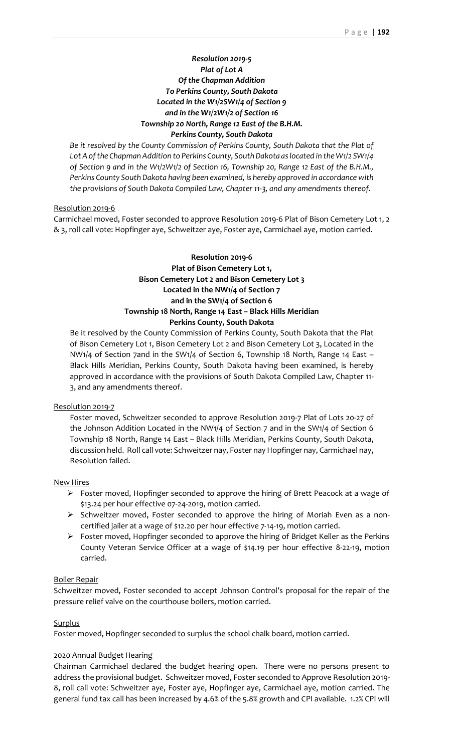# *Resolution 2019-5 Plat of Lot A Of the Chapman Addition To Perkins County, South Dakota Located in the W1/2SW1/4 of Section 9 and in the W1/2W1/2 of Section 16 Township 20 North, Range 12 East of the B.H.M. Perkins County, South Dakota*

*Be it resolved by the County Commission of Perkins County, South Dakota that the Plat of Lot A of the Chapman Addition to Perkins County, South Dakota as located in the W1/2 SW1/4 of Section 9 and in the W1/2W1/2 of Section 16, Township 20, Range 12 East of the B.H.M., Perkins County South Dakota having been examined, is hereby approved in accordance with the provisions of South Dakota Compiled Law, Chapter 11-3, and any amendments thereof.*

## Resolution 2019-6

Carmichael moved, Foster seconded to approve Resolution 2019-6 Plat of Bison Cemetery Lot 1, 2 & 3, roll call vote: Hopfinger aye, Schweitzer aye, Foster aye, Carmichael aye, motion carried.

# **Resolution 2019-6 Plat of Bison Cemetery Lot 1, Bison Cemetery Lot 2 and Bison Cemetery Lot 3 Located in the NW1/4 of Section 7 and in the SW1/4 of Section 6 Township 18 North, Range 14 East – Black Hills Meridian Perkins County, South Dakota**

Be it resolved by the County Commission of Perkins County, South Dakota that the Plat of Bison Cemetery Lot 1, Bison Cemetery Lot 2 and Bison Cemetery Lot 3, Located in the NW1/4 of Section 7and in the SW1/4 of Section 6, Township 18 North, Range 14 East – Black Hills Meridian, Perkins County, South Dakota having been examined, is hereby approved in accordance with the provisions of South Dakota Compiled Law, Chapter 11- 3, and any amendments thereof.

## Resolution 2019-7

Foster moved, Schweitzer seconded to approve Resolution 2019-7 Plat of Lots 20-27 of the Johnson Addition Located in the NW1/4 of Section 7 and in the SW1/4 of Section 6 Township 18 North, Range 14 East – Black Hills Meridian, Perkins County, South Dakota, discussion held. Roll call vote: Schweitzer nay, Foster nay Hopfinger nay, Carmichael nay, Resolution failed.

## New Hires

- ➢ Foster moved, Hopfinger seconded to approve the hiring of Brett Peacock at a wage of \$13.24 per hour effective 07-24-2019, motion carried.
- ➢ Schweitzer moved, Foster seconded to approve the hiring of Moriah Even as a noncertified jailer at a wage of \$12.20 per hour effective 7-14-19, motion carried.
- $\triangleright$  Foster moved, Hopfinger seconded to approve the hiring of Bridget Keller as the Perkins County Veteran Service Officer at a wage of \$14.19 per hour effective 8-22-19, motion carried.

## Boiler Repair

Schweitzer moved, Foster seconded to accept Johnson Control's proposal for the repair of the pressure relief valve on the courthouse boilers, motion carried.

## **Surplus**

Foster moved, Hopfinger seconded to surplus the school chalk board, motion carried.

## 2020 Annual Budget Hearing

Chairman Carmichael declared the budget hearing open. There were no persons present to address the provisional budget. Schweitzer moved, Foster seconded to Approve Resolution 2019- 8, roll call vote: Schweitzer aye, Foster aye, Hopfinger aye, Carmichael aye, motion carried. The general fund tax call has been increased by 4.6% of the 5.8% growth and CPI available. 1.2% CPI will